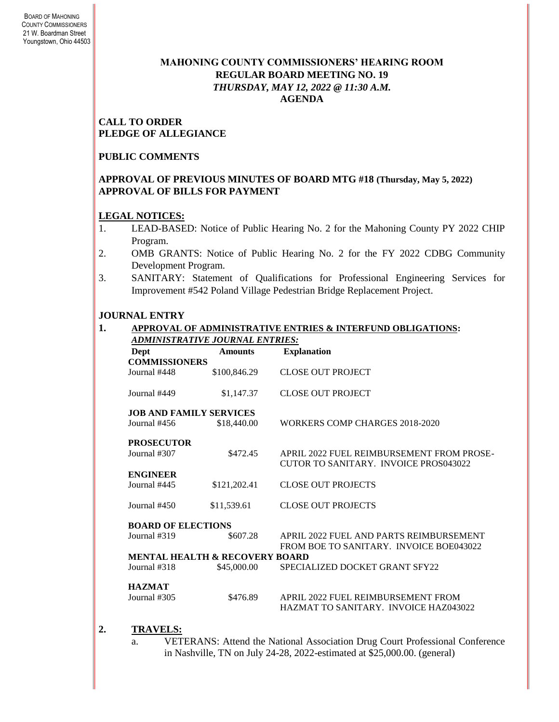## **MAHONING COUNTY COMMISSIONERS' HEARING ROOM REGULAR BOARD MEETING NO. 19** *THURSDAY, MAY 12, 2022 @ 11:30 A.M.* **AGENDA**

### **CALL TO ORDER PLEDGE OF ALLEGIANCE**

## **PUBLIC COMMENTS**

## **APPROVAL OF PREVIOUS MINUTES OF BOARD MTG #18 (Thursday, May 5, 2022) APPROVAL OF BILLS FOR PAYMENT**

## **LEGAL NOTICES:**

- 1. LEAD-BASED: Notice of Public Hearing No. 2 for the Mahoning County PY 2022 CHIP Program.
- 2. OMB GRANTS: Notice of Public Hearing No. 2 for the FY 2022 CDBG Community Development Program.
- 3. SANITARY: Statement of Qualifications for Professional Engineering Services for Improvement #542 Poland Village Pedestrian Bridge Replacement Project.

### **JOURNAL ENTRY**

| APPROVAL OF ADMINISTRATIVE ENTRIES & INTERFUND OBLIGATIONS: |                                           |                                                                                    |  |  |
|-------------------------------------------------------------|-------------------------------------------|------------------------------------------------------------------------------------|--|--|
| ADMINISTRATIVE JOURNAL ENTRIES:                             |                                           |                                                                                    |  |  |
| Dept                                                        | <b>Amounts</b>                            | <b>Explanation</b>                                                                 |  |  |
| <b>COMMISSIONERS</b>                                        |                                           |                                                                                    |  |  |
| Journal #448                                                | \$100,846.29                              | <b>CLOSE OUT PROJECT</b>                                                           |  |  |
| Journal #449                                                | \$1,147.37                                | <b>CLOSE OUT PROJECT</b>                                                           |  |  |
| <b>JOB AND FAMILY SERVICES</b>                              |                                           |                                                                                    |  |  |
| Journal $#456$                                              | \$18,440.00                               | WORKERS COMP CHARGES 2018-2020                                                     |  |  |
| <b>PROSECUTOR</b>                                           |                                           |                                                                                    |  |  |
| Journal #307                                                | \$472.45                                  | APRIL 2022 FUEL REIMBURSEMENT FROM PROSE-<br>CUTOR TO SANITARY. INVOICE PROS043022 |  |  |
| <b>ENGINEER</b>                                             |                                           |                                                                                    |  |  |
| Journal #445                                                | \$121,202.41                              | <b>CLOSE OUT PROJECTS</b>                                                          |  |  |
| Journal #450                                                | \$11,539.61                               | <b>CLOSE OUT PROJECTS</b>                                                          |  |  |
| <b>BOARD OF ELECTIONS</b>                                   |                                           |                                                                                    |  |  |
| Journal#319                                                 | \$607.28                                  | APRIL 2022 FUEL AND PARTS REIMBURSEMENT<br>FROM BOE TO SANITARY. INVOICE BOE043022 |  |  |
|                                                             | <b>MENTAL HEALTH &amp; RECOVERY BOARD</b> |                                                                                    |  |  |
| Journal #318                                                | \$45,000.00                               | SPECIALIZED DOCKET GRANT SFY22                                                     |  |  |
| <b>HAZMAT</b>                                               |                                           |                                                                                    |  |  |
| Journal #305                                                | \$476.89                                  | APRIL 2022 FUEL REIMBURSEMENT FROM                                                 |  |  |
|                                                             |                                           | HAZMAT TO SANITARY INVOICE HAZ043022                                               |  |  |

### **2. TRAVELS:**

a. VETERANS: Attend the National Association Drug Court Professional Conference in Nashville, TN on July 24-28, 2022-estimated at \$25,000.00. (general)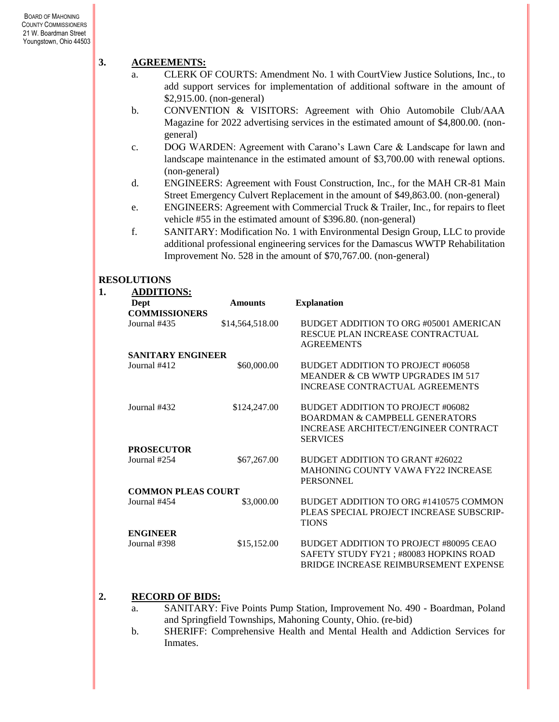## **3. AGREEMENTS:**

- a. CLERK OF COURTS: Amendment No. 1 with CourtView Justice Solutions, Inc., to add support services for implementation of additional software in the amount of \$2,915.00. (non-general)
- b. CONVENTION & VISITORS: Agreement with Ohio Automobile Club/AAA Magazine for 2022 advertising services in the estimated amount of \$4,800.00. (nongeneral)
- c. DOG WARDEN: Agreement with Carano's Lawn Care & Landscape for lawn and landscape maintenance in the estimated amount of \$3,700.00 with renewal options. (non-general)
- d. ENGINEERS: Agreement with Foust Construction, Inc., for the MAH CR-81 Main Street Emergency Culvert Replacement in the amount of \$49,863.00. (non-general)
- e. ENGINEERS: Agreement with Commercial Truck & Trailer, Inc., for repairs to fleet vehicle #55 in the estimated amount of \$396.80. (non-general)
- f. SANITARY: Modification No. 1 with Environmental Design Group, LLC to provide additional professional engineering services for the Damascus WWTP Rehabilitation Improvement No. 528 in the amount of \$70,767.00. (non-general)

#### **RESOLUTIONS**

| 1. | <b>ADDITIONS:</b>         |                 |                                                                                                                                           |  |  |
|----|---------------------------|-----------------|-------------------------------------------------------------------------------------------------------------------------------------------|--|--|
|    | Dept                      | <b>Amounts</b>  | <b>Explanation</b>                                                                                                                        |  |  |
|    | <b>COMMISSIONERS</b>      |                 |                                                                                                                                           |  |  |
|    | Journal $#435$            | \$14,564,518.00 | BUDGET ADDITION TO ORG #05001 AMERICAN<br>RESCUE PLAN INCREASE CONTRACTUAL<br><b>AGREEMENTS</b>                                           |  |  |
|    | <b>SANITARY ENGINEER</b>  |                 |                                                                                                                                           |  |  |
|    | Journal $#412$            | \$60,000.00     | BUDGET ADDITION TO PROJECT #06058<br>MEANDER & CB WWTP UPGRADES IM 517<br>INCREASE CONTRACTUAL AGREEMENTS                                 |  |  |
|    | Journal #432              | \$124,247.00    | BUDGET ADDITION TO PROJECT #06082<br><b>BOARDMAN &amp; CAMPBELL GENERATORS</b><br>INCREASE ARCHITECT/ENGINEER CONTRACT<br><b>SERVICES</b> |  |  |
|    | <b>PROSECUTOR</b>         |                 |                                                                                                                                           |  |  |
|    | Journal $#254$            | \$67,267.00     | BUDGET ADDITION TO GRANT #26022<br><b>MAHONING COUNTY VAWA FY22 INCREASE</b><br><b>PERSONNEL</b>                                          |  |  |
|    | <b>COMMON PLEAS COURT</b> |                 |                                                                                                                                           |  |  |
|    | Journal #454              | \$3,000.00      | BUDGET ADDITION TO ORG #1410575 COMMON<br>PLEAS SPECIAL PROJECT INCREASE SUBSCRIP-<br><b>TIONS</b>                                        |  |  |
|    | <b>ENGINEER</b>           |                 |                                                                                                                                           |  |  |
|    | Journal #398              | \$15,152.00     | BUDGET ADDITION TO PROJECT #80095 CEAO<br>SAFETY STUDY FY21; #80083 HOPKINS ROAD<br>BRIDGE INCREASE REIMBURSEMENT EXPENSE                 |  |  |

## **2. RECORD OF BIDS:**

- a. SANITARY: Five Points Pump Station, Improvement No. 490 Boardman, Poland and Springfield Townships, Mahoning County, Ohio. (re-bid)
- b. SHERIFF: Comprehensive Health and Mental Health and Addiction Services for Inmates.